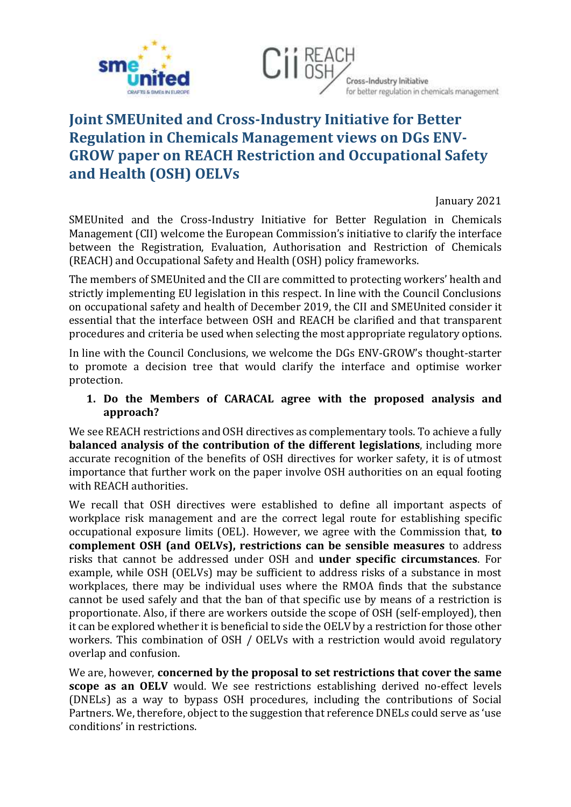



## **Joint SMEUnited and Cross-Industry Initiative for Better Regulation in Chemicals Management views on DGs ENV-GROW paper on REACH Restriction and Occupational Safety and Health (OSH) OELVs**

January 2021

SMEUnited and the Cross-Industry Initiative for Better Regulation in Chemicals Management (CII) welcome the European Commission's initiative to clarify the interface between the Registration, Evaluation, Authorisation and Restriction of Chemicals (REACH) and Occupational Safety and Health (OSH) policy frameworks.

The members of SMEUnited and the CII are committed to protecting workers' health and strictly implementing EU legislation in this respect. In line with the Council Conclusions on occupational safety and health of December 2019, the CII and SMEUnited consider it essential that the interface between OSH and REACH be clarified and that transparent procedures and criteria be used when selecting the most appropriate regulatory options.

In line with the Council Conclusions, we welcome the DGs ENV-GROW's thought-starter to promote a decision tree that would clarify the interface and optimise worker protection.

## **1. Do the Members of CARACAL agree with the proposed analysis and approach?**

We see REACH restrictions and OSH directives as complementary tools. To achieve a fully **balanced analysis of the contribution of the different legislations**, including more accurate recognition of the benefits of OSH directives for worker safety, it is of utmost importance that further work on the paper involve OSH authorities on an equal footing with REACH authorities.

We recall that OSH directives were established to define all important aspects of workplace risk management and are the correct legal route for establishing specific occupational exposure limits (OEL). However, we agree with the Commission that, **to complement OSH (and OELVs), restrictions can be sensible measures** to address risks that cannot be addressed under OSH and **under specific circumstances**. For example, while OSH (OELVs) may be sufficient to address risks of a substance in most workplaces, there may be individual uses where the RMOA finds that the substance cannot be used safely and that the ban of that specific use by means of a restriction is proportionate. Also, if there are workers outside the scope of OSH (self-employed), then it can be explored whether it is beneficial to side the OELV by a restriction for those other workers. This combination of OSH / OELVs with a restriction would avoid regulatory overlap and confusion.

We are, however, **concerned by the proposal to set restrictions that cover the same scope as an OELV** would. We see restrictions establishing derived no-effect levels (DNELs) as a way to bypass OSH procedures, including the contributions of Social Partners. We, therefore, object to the suggestion that reference DNELs could serve as 'use conditions' in restrictions.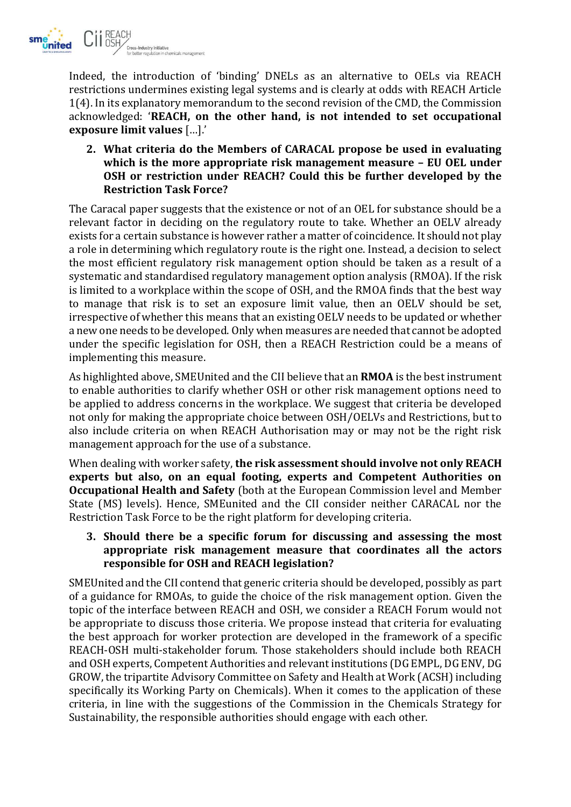

Indeed, the introduction of 'binding' DNELs as an alternative to OELs via REACH restrictions undermines existing legal systems and is clearly at odds with REACH Article 1(4). In its explanatory memorandum to the second revision of the CMD, the Commission acknowledged: '**REACH, on the other hand, is not intended to set occupational exposure limit values** […].'

**2. What criteria do the Members of CARACAL propose be used in evaluating which is the more appropriate risk management measure – EU OEL under OSH or restriction under REACH? Could this be further developed by the Restriction Task Force?**

The Caracal paper suggests that the existence or not of an OEL for substance should be a relevant factor in deciding on the regulatory route to take. Whether an OELV already exists for a certain substance is however rather a matter of coincidence. It should not play a role in determining which regulatory route is the right one. Instead, a decision to select the most efficient regulatory risk management option should be taken as a result of a systematic and standardised regulatory management option analysis (RMOA). If the risk is limited to a workplace within the scope of OSH, and the RMOA finds that the best way to manage that risk is to set an exposure limit value, then an OELV should be set, irrespective of whether this means that an existing OELV needs to be updated or whether a new one needs to be developed. Only when measures are needed that cannot be adopted under the specific legislation for OSH, then a REACH Restriction could be a means of implementing this measure.

As highlighted above, SMEUnited and the CII believe that an **RMOA** is the best instrument to enable authorities to clarify whether OSH or other risk management options need to be applied to address concerns in the workplace. We suggest that criteria be developed not only for making the appropriate choice between OSH/OELVs and Restrictions, but to also include criteria on when REACH Authorisation may or may not be the right risk management approach for the use of a substance.

When dealing with worker safety, **the risk assessment should involve not only REACH experts but also, on an equal footing, experts and Competent Authorities on Occupational Health and Safety** (both at the European Commission level and Member State (MS) levels). Hence, SMEunited and the CII consider neither CARACAL nor the Restriction Task Force to be the right platform for developing criteria.

## **3. Should there be a specific forum for discussing and assessing the most appropriate risk management measure that coordinates all the actors responsible for OSH and REACH legislation?**

SMEUnited and the CII contend that generic criteria should be developed, possibly as part of a guidance for RMOAs, to guide the choice of the risk management option. Given the topic of the interface between REACH and OSH, we consider a REACH Forum would not be appropriate to discuss those criteria. We propose instead that criteria for evaluating the best approach for worker protection are developed in the framework of a specific REACH-OSH multi-stakeholder forum. Those stakeholders should include both REACH and OSH experts, Competent Authorities and relevant institutions (DG EMPL, DG ENV, DG GROW, the tripartite Advisory Committee on Safety and Health at Work (ACSH) including specifically its Working Party on Chemicals). When it comes to the application of these criteria, in line with the suggestions of the Commission in the Chemicals Strategy for Sustainability, the responsible authorities should engage with each other.